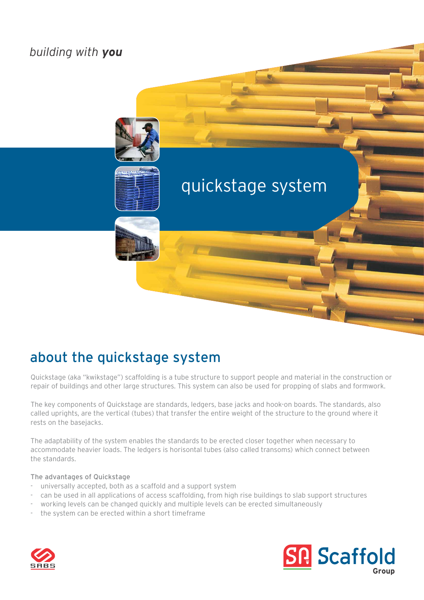## quickstage system *building with you*

## about the quickstage system

Quickstage (aka "kwikstage") scaffolding is a tube structure to support people and material in the construction or repair of buildings and other large structures. This system can also be used for propping of slabs and formwork.

The key components of Quickstage are standards, ledgers, base jacks and hook-on boards. The standards, also called uprights, are the vertical (tubes) that transfer the entire weight of the structure to the ground where it rests on the basejacks.

The adaptability of the system enables the standards to be erected closer together when necessary to accommodate heavier loads. The ledgers is horisontal tubes (also called transoms) which connect between the standards.

The advantages of Quickstage

- universally accepted, both as a scaffold and a support system
- can be used in all applications of access scaffolding, from high rise buildings to slab support structures
- working levels can be changed quickly and multiple levels can be erected simultaneously
- the system can be erected within a short timeframe



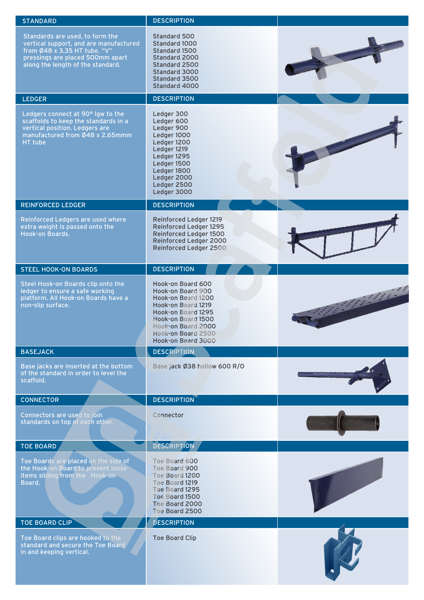| <b>STANDARD</b>                                                                                                                                                                    | <b>DESCRIPTION</b>                                                                                                                                                                               |  |
|------------------------------------------------------------------------------------------------------------------------------------------------------------------------------------|--------------------------------------------------------------------------------------------------------------------------------------------------------------------------------------------------|--|
| Standards are used, to form the<br>vertical support, and are manufactured<br>from Ø48 x 3.35 HT tube. "V"<br>pressings are placed 500mm apart<br>along the length of the standard. | <b>Standard 500</b><br>Standard 1000<br>Standard 1500<br>Standard 2000<br>Standard 2500<br>Standard 3000<br>Standard 3500<br>Standard 4000                                                       |  |
| <b>LEDGER</b>                                                                                                                                                                      | <b>DESCRIPTION</b>                                                                                                                                                                               |  |
| Ledgers connect at 90° lgw to the<br>scaffolds to keep the standards in a<br>vertical position. Ledgers are<br>manufactured from Ø48 x 2.65mmm<br>HT tube                          | Ledger 300<br>Ledger 600<br>Ledger 900<br>Ledger 1000<br>Ledger 1200<br>Ledger 1219<br>Ledger 1295<br>Ledger 1500<br>Ledger 1800<br>Ledger 2000<br>Ledger 2500<br>Ledger 3000                    |  |
| <b>REINFORCED LEDGER</b>                                                                                                                                                           | <b>DESCRIPTION</b>                                                                                                                                                                               |  |
| Reinforced Ledgers are used where<br>extra weight is passed onto the<br>Hook-on Boards.                                                                                            | Reinforced Ledger 1219<br>Reinforced Ledger 1295<br>Reinforced Ledger 1500<br>Reinforced Ledger 2000<br>Reinforced Ledger 2500                                                                   |  |
| <b>STEEL HOOK-ON BOARDS</b>                                                                                                                                                        | <b>DESCRIPTION</b>                                                                                                                                                                               |  |
| Steel Hook-on Boards clip onto the<br>ledger to ensure a safe working<br>platform. All Hook-on Boards have a<br>non-slip surface.                                                  | Hook-on Board 600<br>Hook-on Board 900<br>Hook-on Board 1200<br>Hook-on Board 1219<br>Hook-on Board 1295<br>Hook-on Board 1500<br>Hook-on Board 2000<br>Hook-on Board 2500<br>Hook-on Board 3000 |  |
| <b>BASEJACK</b>                                                                                                                                                                    | <b>DESCRIPTION</b>                                                                                                                                                                               |  |
| Base jacks are inserted at the bottom<br>of the standard in order to level the<br>scaffold.                                                                                        | Base jack Ø38 hollow 600 R/O                                                                                                                                                                     |  |
| <b>CONNECTOR</b>                                                                                                                                                                   | <b>DESCRIPTION</b>                                                                                                                                                                               |  |
| Connectors are used to join<br>standards on top of each other.                                                                                                                     | Connector                                                                                                                                                                                        |  |
| <b>TOE BOARD</b>                                                                                                                                                                   | <b>DESCRIPTION</b>                                                                                                                                                                               |  |
| Toe Boards are placed on the side of<br>the Hook-on Board to prevent loose<br>items sliding from the Hook-on-<br>Board.                                                            | Toe Board 600<br>Toe Board 900<br>Toe Board 1200<br>Toe Board 1219<br>Toe Board 1295<br>Toe Board 1500<br>Toe Board 2000<br>Toe Board 2500                                                       |  |
| <b>TOE BOARD CLIP</b>                                                                                                                                                              | <b>DESCRIPTION</b>                                                                                                                                                                               |  |
| Toe Board clips are hooked to the<br>standard and secure the Toe Board<br>in and keeping vertical.                                                                                 | <b>Toe Board Clip</b>                                                                                                                                                                            |  |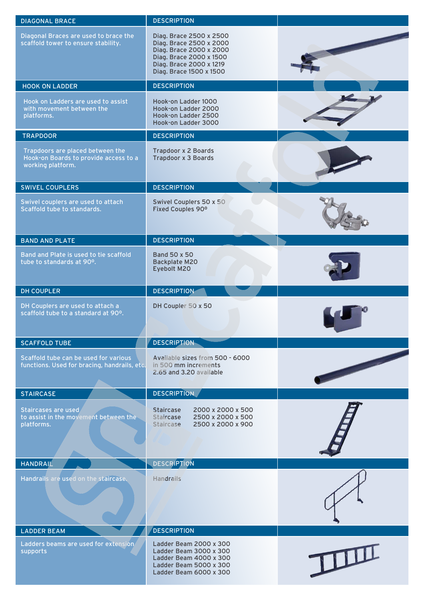| <b>DIAGONAL BRACE</b>                                                                          | <b>DESCRIPTION</b>                                                                                                                                             |  |
|------------------------------------------------------------------------------------------------|----------------------------------------------------------------------------------------------------------------------------------------------------------------|--|
| Diagonal Braces are used to brace the<br>scaffold tower to ensure stability.                   | Diag. Brace 2500 x 2500<br>Diag. Brace 2500 x 2000<br>Diag. Brace 2000 x 2000<br>Diag. Brace 2000 x 1500<br>Diag. Brace 2000 x 1219<br>Diag. Brace 1500 x 1500 |  |
| <b>HOOK ON LADDER</b>                                                                          | <b>DESCRIPTION</b>                                                                                                                                             |  |
| Hook on Ladders are used to assist<br>with movement between the<br>platforms.                  | Hook-on Ladder 1000<br>Hook-on Ladder 2000<br>Hook-on Ladder 2500<br>Hook-on Ladder 3000                                                                       |  |
| <b>TRAPDOOR</b>                                                                                | <b>DESCRIPTION</b>                                                                                                                                             |  |
| Trapdoors are placed between the<br>Hook-on Boards to provide access to a<br>working platform. | <b>Trapdoor x 2 Boards</b><br><b>Trapdoor x 3 Boards</b>                                                                                                       |  |
| <b>SWIVEL COUPLERS</b>                                                                         | <b>DESCRIPTION</b>                                                                                                                                             |  |
| Swivel couplers are used to attach<br>Scaffold tube to standards.                              | Swivel Couplers 50 x 50<br>Fixed Couples 90°                                                                                                                   |  |
| <b>BAND AND PLATE</b>                                                                          | <b>DESCRIPTION</b>                                                                                                                                             |  |
| Band and Plate is used to tie scaffold<br>tube to standards at 90°.                            | Band 50 x 50<br><b>Backplate M20</b><br>Eyebolt M20                                                                                                            |  |
| <b>DH COUPLER</b>                                                                              | <b>DESCRIPTION</b>                                                                                                                                             |  |
| DH Couplers are used to attach a<br>scaffold tube to a standard at 90°.                        | DH Coupler 50 x 50                                                                                                                                             |  |
| <b>SCAFFOLD TUBE</b>                                                                           | <b>DESCRIPTION</b>                                                                                                                                             |  |
| Scaffold tube can be used for various<br>functions. Used for bracing, handrails, etc.          | Available sizes from 500 - 6000<br>in 500 mm increments<br>2.65 and 3.20 available                                                                             |  |
| <b>STAIRCASE</b>                                                                               | <b>DESCRIPTION</b>                                                                                                                                             |  |
| Staircases are used<br>to assist in the movement between the<br>platforms.                     | <b>Staircase</b><br>2000 x 2000 x 500<br>Staircase<br>2500 x 2000 x 500<br><b>Staircase</b><br>2500 x 2000 x 900                                               |  |
| <b>HANDRAIL</b>                                                                                | <b>DESCRIPTION</b>                                                                                                                                             |  |
| Handrails are used on the staircase.                                                           | <b>Handrails</b>                                                                                                                                               |  |
| <b>LADDER BEAM</b>                                                                             | <b>DESCRIPTION</b>                                                                                                                                             |  |
| Ladders beams are used for extension<br>supports                                               | Ladder Beam 2000 x 300<br>Ladder Beam 3000 x 300<br>Ladder Beam 4000 x 300<br>Ladder Beam 5000 x 300<br>Ladder Beam 6000 x 300                                 |  |